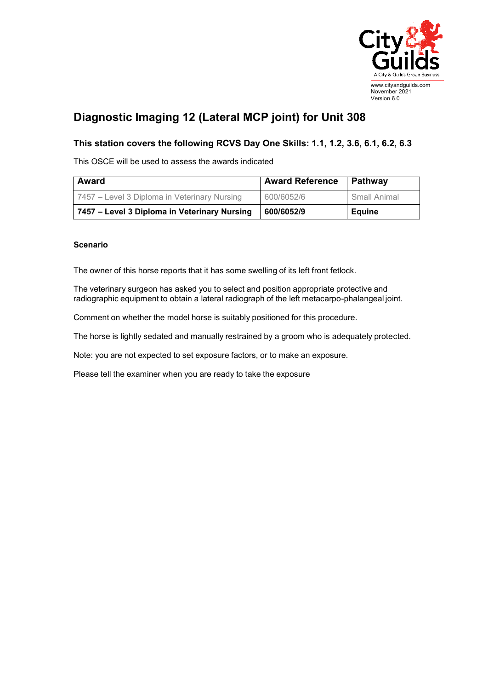

## **Diagnostic Imaging 12 (Lateral MCP joint) for Unit 308**

## **This station covers the following RCVS Day One Skills: 1.1, 1.2, 3.6, 6.1, 6.2, 6.3**

This OSCE will be used to assess the awards indicated

| <b>Award</b>                                 | <b>Award Reference</b> | Pathway       |
|----------------------------------------------|------------------------|---------------|
| 7457 – Level 3 Diploma in Veterinary Nursing | 600/6052/6             | Small Animal  |
| 7457 – Level 3 Diploma in Veterinary Nursing | 600/6052/9             | <b>Equine</b> |

## **Scenario**

The owner of this horse reports that it has some swelling of its left front fetlock.

The veterinary surgeon has asked you to select and position appropriate protective and radiographic equipment to obtain a lateral radiograph of the left metacarpo-phalangeal joint.

Comment on whether the model horse is suitably positioned for this procedure.

The horse is lightly sedated and manually restrained by a groom who is adequately protected.

Note: you are not expected to set exposure factors, or to make an exposure.

Please tell the examiner when you are ready to take the exposure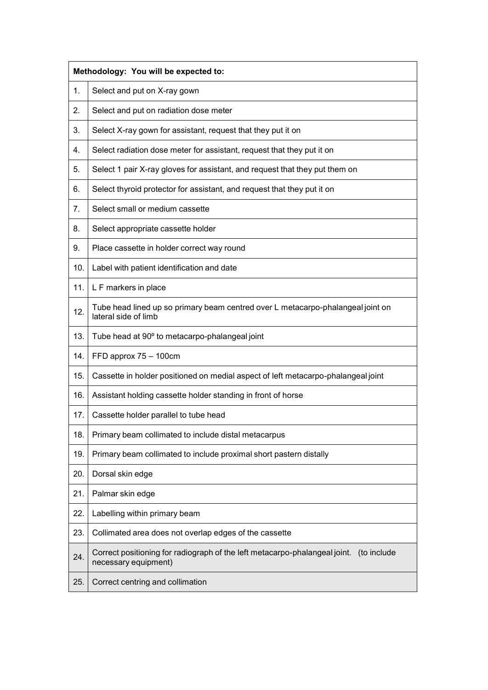|     | Methodology: You will be expected to:                                                                          |  |
|-----|----------------------------------------------------------------------------------------------------------------|--|
| 1.  | Select and put on X-ray gown                                                                                   |  |
| 2.  | Select and put on radiation dose meter                                                                         |  |
| 3.  | Select X-ray gown for assistant, request that they put it on                                                   |  |
| 4.  | Select radiation dose meter for assistant, request that they put it on                                         |  |
| 5.  | Select 1 pair X-ray gloves for assistant, and request that they put them on                                    |  |
| 6.  | Select thyroid protector for assistant, and request that they put it on                                        |  |
| 7.  | Select small or medium cassette                                                                                |  |
| 8.  | Select appropriate cassette holder                                                                             |  |
| 9.  | Place cassette in holder correct way round                                                                     |  |
| 10. | Label with patient identification and date                                                                     |  |
| 11. | L F markers in place                                                                                           |  |
| 12. | Tube head lined up so primary beam centred over L metacarpo-phalangeal joint on<br>lateral side of limb        |  |
| 13. | Tube head at 90° to metacarpo-phalangeal joint                                                                 |  |
| 14. | FFD approx 75 - 100cm                                                                                          |  |
| 15. | Cassette in holder positioned on medial aspect of left metacarpo-phalangeal joint                              |  |
| 16. | Assistant holding cassette holder standing in front of horse                                                   |  |
| 17. | Cassette holder parallel to tube head                                                                          |  |
| 18. | Primary beam collimated to include distal metacarpus                                                           |  |
| 19. | Primary beam collimated to include proximal short pastern distally                                             |  |
| 20. | Dorsal skin edge                                                                                               |  |
| 21. | Palmar skin edge                                                                                               |  |
| 22. | Labelling within primary beam                                                                                  |  |
| 23. | Collimated area does not overlap edges of the cassette                                                         |  |
| 24. | Correct positioning for radiograph of the left metacarpo-phalangeal joint. (to include<br>necessary equipment) |  |
| 25. | Correct centring and collimation                                                                               |  |